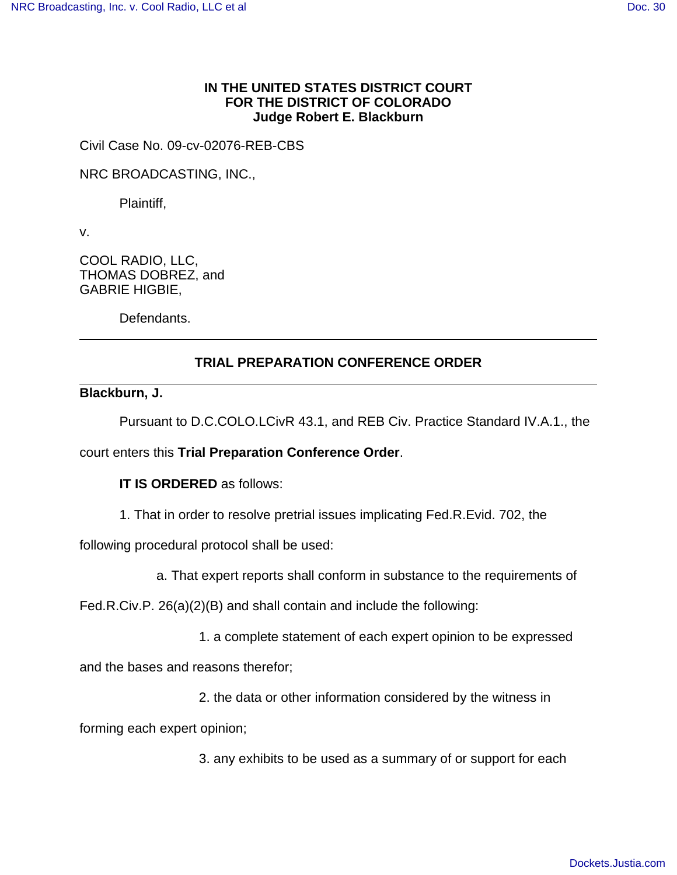## **IN THE UNITED STATES DISTRICT COURT FOR THE DISTRICT OF COLORADO Judge Robert E. Blackburn**

Civil Case No. 09-cv-02076-REB-CBS

NRC BROADCASTING, INC.,

Plaintiff,

v.

COOL RADIO, LLC, THOMAS DOBREZ, and GABRIE HIGBIE,

Defendants.

# **TRIAL PREPARATION CONFERENCE ORDER**

### **Blackburn, J.**

Pursuant to D.C.COLO.LCivR 43.1, and REB Civ. Practice Standard IV.A.1., the

court enters this **Trial Preparation Conference Order**.

**IT IS ORDERED** as follows:

1. That in order to resolve pretrial issues implicating Fed.R.Evid. 702, the

following procedural protocol shall be used:

a. That expert reports shall conform in substance to the requirements of

Fed.R.Civ.P. 26(a)(2)(B) and shall contain and include the following:

1. a complete statement of each expert opinion to be expressed

and the bases and reasons therefor;

2. the data or other information considered by the witness in

forming each expert opinion;

3. any exhibits to be used as a summary of or support for each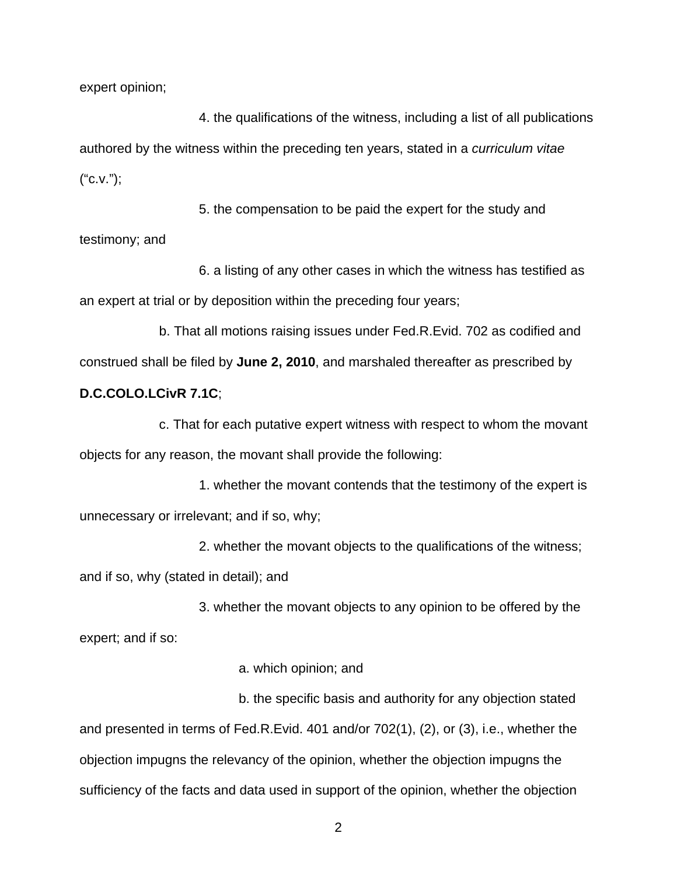expert opinion;

4. the qualifications of the witness, including a list of all publications authored by the witness within the preceding ten years, stated in a curriculum vitae ("c.v.");

5. the compensation to be paid the expert for the study and testimony; and

6. a listing of any other cases in which the witness has testified as an expert at trial or by deposition within the preceding four years;

b. That all motions raising issues under Fed.R.Evid. 702 as codified and construed shall be filed by **June 2, 2010**, and marshaled thereafter as prescribed by

## **D.C.COLO.LCivR 7.1C**;

c. That for each putative expert witness with respect to whom the movant objects for any reason, the movant shall provide the following:

1. whether the movant contends that the testimony of the expert is unnecessary or irrelevant; and if so, why;

2. whether the movant objects to the qualifications of the witness; and if so, why (stated in detail); and

3. whether the movant objects to any opinion to be offered by the expert; and if so:

### a. which opinion; and

b. the specific basis and authority for any objection stated and presented in terms of Fed.R.Evid. 401 and/or 702(1), (2), or (3), i.e., whether the objection impugns the relevancy of the opinion, whether the objection impugns the sufficiency of the facts and data used in support of the opinion, whether the objection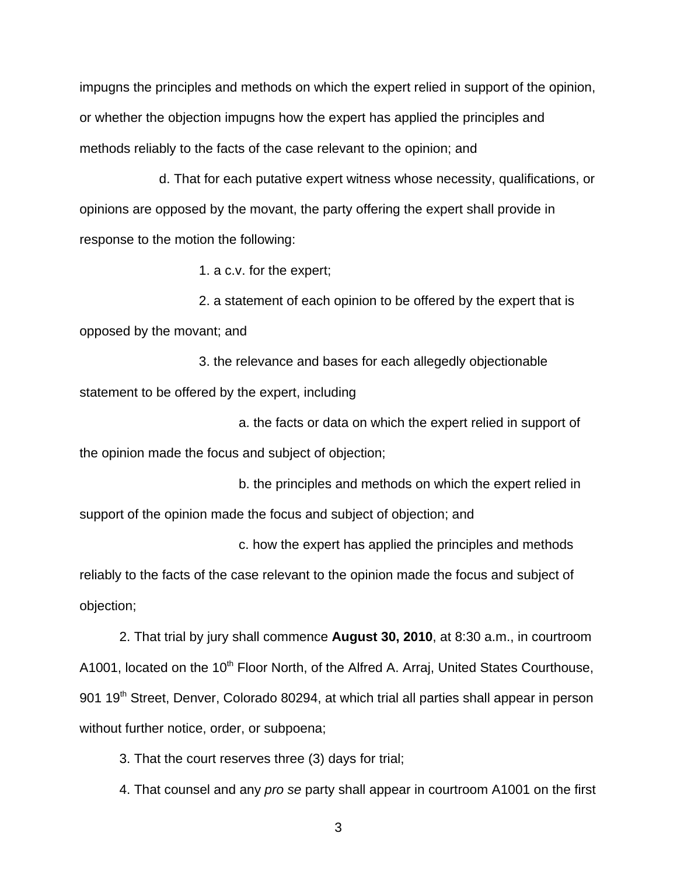impugns the principles and methods on which the expert relied in support of the opinion, or whether the objection impugns how the expert has applied the principles and methods reliably to the facts of the case relevant to the opinion; and

d. That for each putative expert witness whose necessity, qualifications, or opinions are opposed by the movant, the party offering the expert shall provide in response to the motion the following:

1. a c.v. for the expert;

2. a statement of each opinion to be offered by the expert that is opposed by the movant; and

3. the relevance and bases for each allegedly objectionable statement to be offered by the expert, including

a. the facts or data on which the expert relied in support of the opinion made the focus and subject of objection;

b. the principles and methods on which the expert relied in support of the opinion made the focus and subject of objection; and

c. how the expert has applied the principles and methods

reliably to the facts of the case relevant to the opinion made the focus and subject of objection;

2. That trial by jury shall commence **August 30, 2010**, at 8:30 a.m., in courtroom A1001, located on the 10<sup>th</sup> Floor North, of the Alfred A. Arraj, United States Courthouse, 901 19<sup>th</sup> Street, Denver, Colorado 80294, at which trial all parties shall appear in person without further notice, order, or subpoena;

3. That the court reserves three (3) days for trial;

4. That counsel and any pro se party shall appear in courtroom A1001 on the first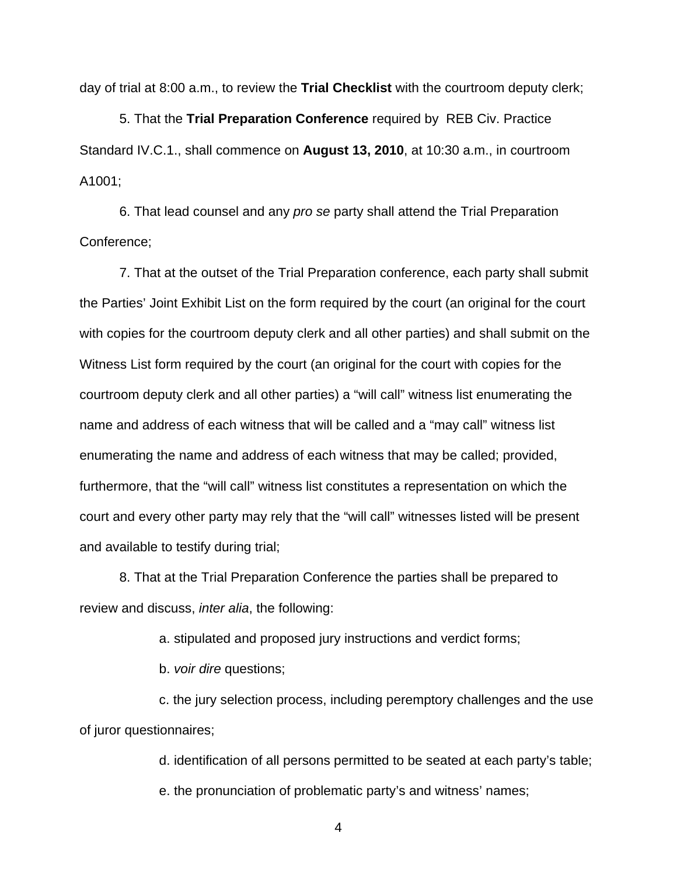day of trial at 8:00 a.m., to review the **Trial Checklist** with the courtroom deputy clerk;

5. That the **Trial Preparation Conference** required by REB Civ. Practice Standard IV.C.1., shall commence on **August 13, 2010**, at 10:30 a.m., in courtroom A1001;

6. That lead counsel and any pro se party shall attend the Trial Preparation Conference;

7. That at the outset of the Trial Preparation conference, each party shall submit the Parties' Joint Exhibit List on the form required by the court (an original for the court with copies for the courtroom deputy clerk and all other parties) and shall submit on the Witness List form required by the court (an original for the court with copies for the courtroom deputy clerk and all other parties) a "will call" witness list enumerating the name and address of each witness that will be called and a "may call" witness list enumerating the name and address of each witness that may be called; provided, furthermore, that the "will call" witness list constitutes a representation on which the court and every other party may rely that the "will call" witnesses listed will be present and available to testify during trial;

8. That at the Trial Preparation Conference the parties shall be prepared to review and discuss, inter alia, the following:

a. stipulated and proposed jury instructions and verdict forms;

b. voir dire questions;

c. the jury selection process, including peremptory challenges and the use of juror questionnaires;

d. identification of all persons permitted to be seated at each party's table;

e. the pronunciation of problematic party's and witness' names;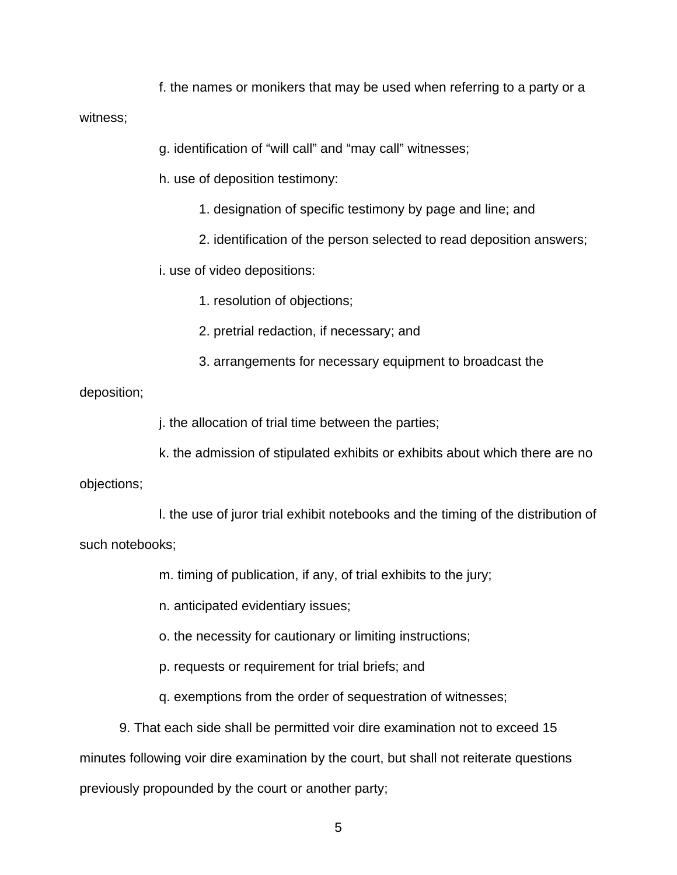f. the names or monikers that may be used when referring to a party or a

witness;

g. identification of "will call" and "may call" witnesses;

h. use of deposition testimony:

- 1. designation of specific testimony by page and line; and
- 2. identification of the person selected to read deposition answers;

i. use of video depositions:

1. resolution of objections;

2. pretrial redaction, if necessary; and

3. arrangements for necessary equipment to broadcast the

#### deposition;

j. the allocation of trial time between the parties;

k. the admission of stipulated exhibits or exhibits about which there are no

objections;

l. the use of juror trial exhibit notebooks and the timing of the distribution of such notebooks;

m. timing of publication, if any, of trial exhibits to the jury;

n. anticipated evidentiary issues;

o. the necessity for cautionary or limiting instructions;

p. requests or requirement for trial briefs; and

q. exemptions from the order of sequestration of witnesses;

9. That each side shall be permitted voir dire examination not to exceed 15 minutes following voir dire examination by the court, but shall not reiterate questions previously propounded by the court or another party;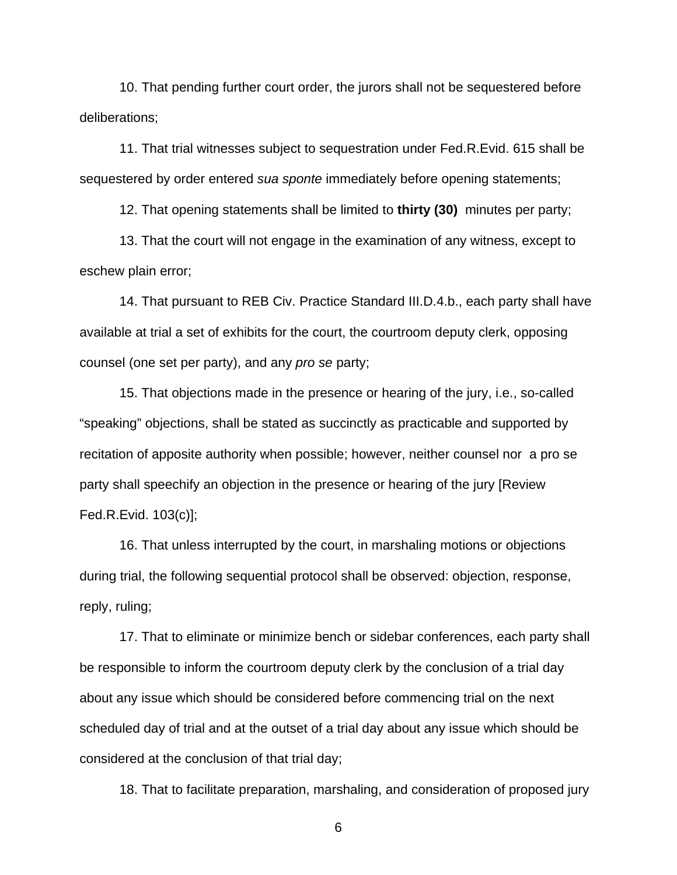10. That pending further court order, the jurors shall not be sequestered before deliberations;

11. That trial witnesses subject to sequestration under Fed.R.Evid. 615 shall be sequestered by order entered sua sponte immediately before opening statements;

12. That opening statements shall be limited to **thirty (30)** minutes per party;

13. That the court will not engage in the examination of any witness, except to eschew plain error;

14. That pursuant to REB Civ. Practice Standard III.D.4.b., each party shall have available at trial a set of exhibits for the court, the courtroom deputy clerk, opposing counsel (one set per party), and any pro se party;

15. That objections made in the presence or hearing of the jury, i.e., so-called "speaking" objections, shall be stated as succinctly as practicable and supported by recitation of apposite authority when possible; however, neither counsel nor a pro se party shall speechify an objection in the presence or hearing of the jury [Review Fed.R.Evid. 103(c)];

16. That unless interrupted by the court, in marshaling motions or objections during trial, the following sequential protocol shall be observed: objection, response, reply, ruling;

17. That to eliminate or minimize bench or sidebar conferences, each party shall be responsible to inform the courtroom deputy clerk by the conclusion of a trial day about any issue which should be considered before commencing trial on the next scheduled day of trial and at the outset of a trial day about any issue which should be considered at the conclusion of that trial day;

18. That to facilitate preparation, marshaling, and consideration of proposed jury